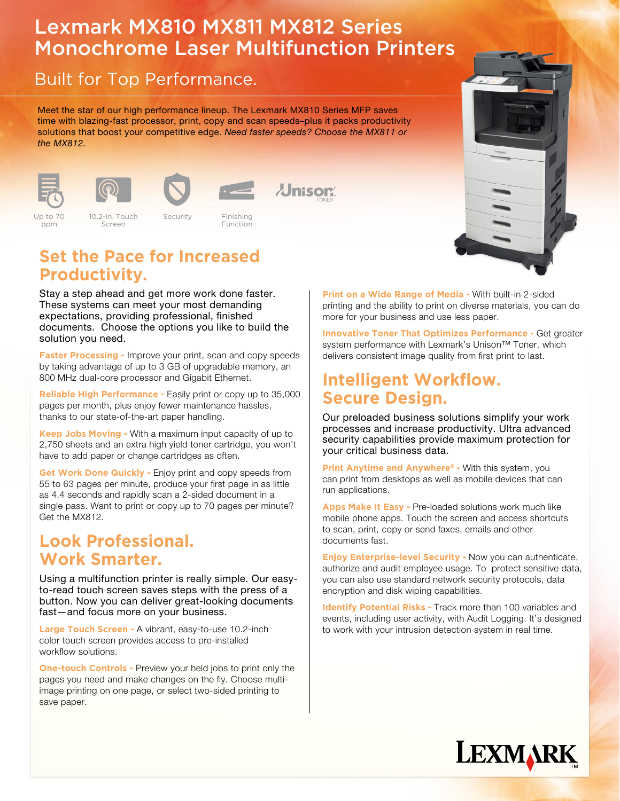# Lexmark MX810 MX811 MX812 Series Monochrome Laser Multifunction Printers

## Built for Top Performance.

Meet the star of our high performance lineup. The Lexmark MX810 Series MFP saves time with blazing-fast processor, print, copy and scan speeds–plus it packs productivity solutions that boost your competitive edge. Need faster speeds? Choose the MX811 or the MX812.





Screen





Up to 70 ppm

Security

Color 2.4" LCD Standard Up to 35ppm Network Eco-mode Finishing Security USB 10.2-In. Touch Function



#### **Set the Pace for Increased Productivity.**

Stay a step ahead and get more work done faster. These systems can meet your most demanding expectations, providing professional, finished documents. Choose the options you like to build the solution you need.

**Faster Processing - Improve your print, scan and copy speeds** by taking advantage of up to 3 GB of upgradable memory, an 800 MHz dual-core processor and Gigabit Ethernet.

**Reliable High Performance -** Easily print or copy up to 35,000 pages per month, plus enjoy fewer maintenance hassles, thanks to our state-of-the-art paper handling.

**Keep Jobs Moving -** With a maximum input capacity of up to 2,750 sheets and an extra high yield toner cartridge, you won't have to add paper or change cartridges as often.

**Get Work Done Quickly -** Enjoy print and copy speeds from 55 to 63 pages per minute, produce your first page in as little as 4.4 seconds and rapidly scan a 2-sided document in a single pass. Want to print or copy up to 70 pages per minute? Get the MX812.

### **Look Professional. Work Smarter.**

Using a multifunction printer is really simple. Our easyto-read touch screen saves steps with the press of a button. Now you can deliver great-looking documents fast—and focus more on your business.

**Large Touch Screen -** A vibrant, easy-to-use 10.2-inch color touch screen provides access to pre-installed workflow solutions.

**One-touch Controls - Preview your held jobs to print only the** pages you need and make changes on the fly. Choose multiimage printing on one page, or select two-sided printing to save paper.

**Print on a Wide Range of Media -** With built-in 2-sided printing and the ability to print on diverse materials, you can do more for your business and use less paper.

**Innovative Toner That Optimizes Performance -** Get greater system performance with Lexmark's Unison<sup>™</sup> Toner, which delivers consistent image quality from first print to last.

#### **Intelligent Workflow. Secure Design.**

Our preloaded business solutions simplify your work processes and increase productivity. Ultra advanced security capabilities provide maximum protection for your critical business data.

**Print Anytime and Anywhere<sup>6</sup> - With this system, you** can print from desktops as well as mobile devices that can run applications.

**Apps Make It Easy -** Pre-loaded solutions work much like mobile phone apps. Touch the screen and access shortcuts to scan, print, copy or send faxes, emails and other documents fast.

**Enjoy Enterprise-level Security -** Now you can authenticate, authorize and audit employee usage. To protect sensitive data, you can also use standard network security protocols, data encryption and disk wiping capabilities.

**Identify Potential Risks - Track more than 100 variables and** events, including user activity, with Audit Logging. It's designed to work with your intrusion detection system in real time.